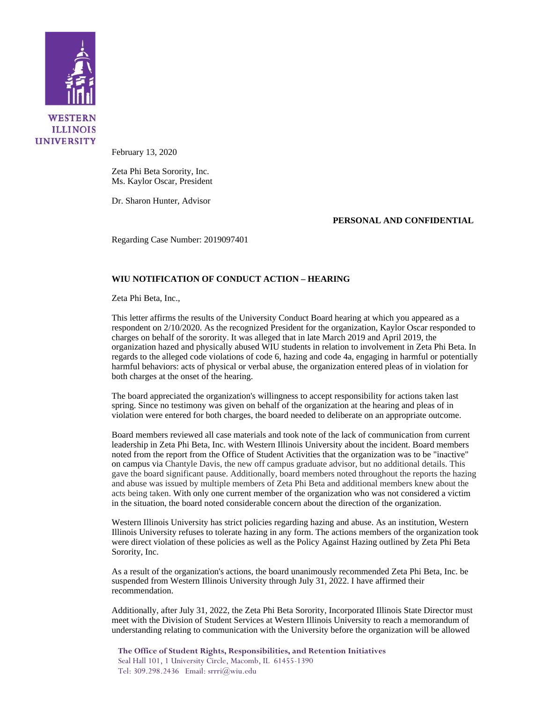

February 13, 2020

Zeta Phi Beta Sorority, Inc. Ms. Kaylor Oscar, President

Dr. Sharon Hunter, Advisor

**PERSONAL AND CONFIDENTIAL**

Regarding Case Number: 2019097401

## **WIU NOTIFICATION OF CONDUCT ACTION – HEARING**

Zeta Phi Beta, Inc.,

This letter affirms the results of the University Conduct Board hearing at which you appeared as a respondent on 2/10/2020. As the recognized President for the organization, Kaylor Oscar responded to charges on behalf of the sorority. It was alleged that in late March 2019 and April 2019, the organization hazed and physically abused WIU students in relation to involvement in Zeta Phi Beta. In regards to the alleged code violations of code 6, hazing and code 4a, engaging in harmful or potentially harmful behaviors: acts of physical or verbal abuse, the organization entered pleas of in violation for both charges at the onset of the hearing.

The board appreciated the organization's willingness to accept responsibility for actions taken last spring. Since no testimony was given on behalf of the organization at the hearing and pleas of in violation were entered for both charges, the board needed to deliberate on an appropriate outcome.

Board members reviewed all case materials and took note of the lack of communication from current leadership in Zeta Phi Beta, Inc. with Western Illinois University about the incident. Board members noted from the report from the Office of Student Activities that the organization was to be "inactive" on campus via Chantyle Davis, the new off campus graduate advisor, but no additional details. This gave the board significant pause. Additionally, board members noted throughout the reports the hazing and abuse was issued by multiple members of Zeta Phi Beta and additional members knew about the acts being taken. With only one current member of the organization who was not considered a victim in the situation, the board noted considerable concern about the direction of the organization.

Western Illinois University has strict policies regarding hazing and abuse. As an institution, Western Illinois University refuses to tolerate hazing in any form. The actions members of the organization took were direct violation of these policies as well as the Policy Against Hazing outlined by Zeta Phi Beta Sorority, Inc.

As a result of the organization's actions, the board unanimously recommended Zeta Phi Beta, Inc. be suspended from Western Illinois University through July 31, 2022. I have affirmed their recommendation.

Additionally, after July 31, 2022, the Zeta Phi Beta Sorority, Incorporated Illinois State Director must meet with the Division of Student Services at Western Illinois University to reach a memorandum of understanding relating to communication with the University before the organization will be allowed

**The Office of Student Rights, Responsibilities, and Retention Initiatives** Seal Hall 101, 1 University Circle, Macomb, IL 61455-1390 Tel: 309.298.2436 Email: srrri@wiu.edu